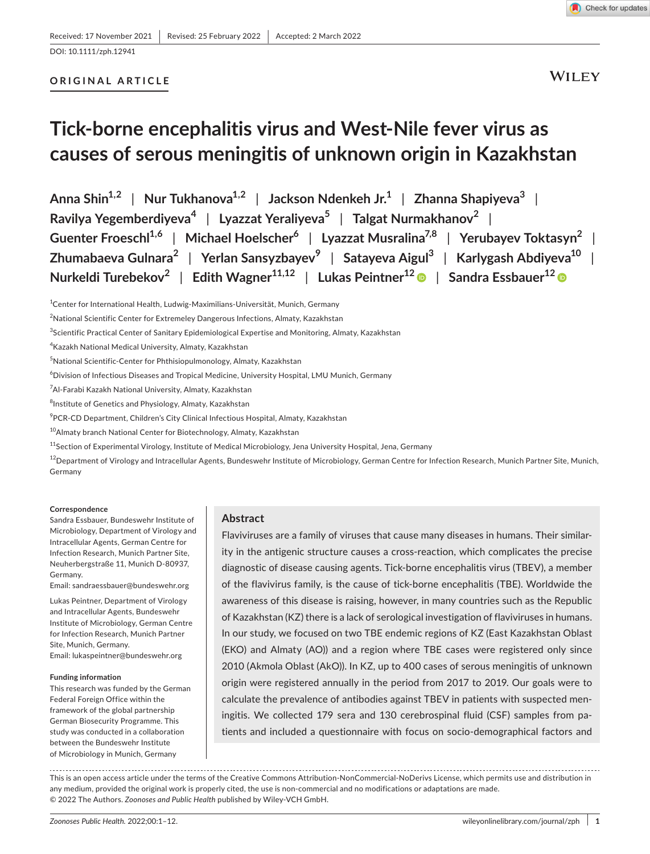# **ORIGINAL ARTICLE**

**WILEY** 

# **Tick-borne encephalitis virus and West-Nile fever virus as causes of serous meningitis of unknown origin in Kazakhstan**

**Anna Shin1,2** | **Nur Tukhanova1,2** | **Jackson Ndenkeh Jr.1** | **Zhanna Shapiyeva3** | **Ravilya Yegemberdiyeva<sup>4</sup>** | **Lyazzat Yeraliyeva5** | **Talgat Nurmakhanov<sup>2</sup>** | **Guenter Froeschl1,6** | **Michael Hoelscher6** | **Lyazzat Musralina7,8** | **Yerubayev Toktasyn2** | **Zhumabaeva Gulnara2** | **Yerlan Sansyzbayev<sup>9</sup>** | **Satayeva Aigul3** | **Karlygash Abdiyeva10** | **Nurkeldi Turebekov<sup>2</sup>** | **Edith Wagner11,12** | **Lukas Peintner12** | **Sandra Essbauer12**

- $^6$ Division of Infectious Diseases and Tropical Medicine, University Hospital, LMU Munich, Germany
- 7 Al-Farabi Kazakh National University, Almaty, Kazakhstan
- 8 Institute of Genetics and Physiology, Almaty, Kazakhstan
- $^9$ PCR-CD Department, Children's City Clinical Infectious Hospital, Almaty, Kazakhstan
- <sup>10</sup>Almaty branch National Center for Biotechnology, Almaty, Kazakhstan
- <sup>11</sup>Section of Experimental Virology, Institute of Medical Microbiology, Jena University Hospital, Jena, Germany

 $^{12}$ Department of Virology and Intracellular Agents, Bundeswehr Institute of Microbiology, German Centre for Infection Research, Munich Partner Site, Munich, Germany

#### **Correspondence**

Sandra Essbauer, Bundeswehr Institute of Microbiology, Department of Virology and Intracellular Agents, German Centre for Infection Research, Munich Partner Site, Neuherbergstraße 11, Munich D-80937, Germany.

Email: [sandraessbauer@bundeswehr.org](mailto:sandraessbauer@bundeswehr.org)

Lukas Peintner, Department of Virology and Intracellular Agents, Bundeswehr Institute of Microbiology, German Centre for Infection Research, Munich Partner Site, Munich, Germany. Email: [lukaspeintner@bundeswehr.org](mailto:lukaspeintner@bundeswehr.org)

#### **Funding information**

This research was funded by the German Federal Foreign Office within the framework of the global partnership German Biosecurity Programme. This study was conducted in a collaboration between the Bundeswehr Institute of Microbiology in Munich, Germany

## **Abstract**

Flaviviruses are a family of viruses that cause many diseases in humans. Their similarity in the antigenic structure causes a cross-reaction, which complicates the precise diagnostic of disease causing agents. Tick-borne encephalitis virus (TBEV), a member of the flavivirus family, is the cause of tick-borne encephalitis (TBE). Worldwide the awareness of this disease is raising, however, in many countries such as the Republic of Kazakhstan (KZ) there is a lack of serological investigation of flaviviruses in humans. In our study, we focused on two TBE endemic regions of KZ (East Kazakhstan Oblast (EKO) and Almaty (AO)) and a region where TBE cases were registered only since 2010 (Akmola Oblast (AkO)). In KZ, up to 400 cases of serous meningitis of unknown origin were registered annually in the period from 2017 to 2019. Our goals were to calculate the prevalence of antibodies against TBEV in patients with suspected meningitis. We collected 179 sera and 130 cerebrospinal fluid (CSF) samples from patients and included a questionnaire with focus on socio-demographical factors and

This is an open access article under the terms of the [Creative Commons Attribution-NonCommercial-NoDerivs](http://creativecommons.org/licenses/by-nc-nd/4.0/) License, which permits use and distribution in any medium, provided the original work is properly cited, the use is non-commercial and no modifications or adaptations are made. © 2022 The Authors. *Zoonoses and Public Health* published by Wiley-VCH GmbH.

<sup>&</sup>lt;sup>1</sup>Center for International Health, Ludwig-Maximilians-Universität, Munich, Germany

 $^{2}$ National Scientific Center for Extremeley Dangerous Infections, Almaty, Kazakhstan

<sup>3</sup> Scientific Practical Center of Sanitary Epidemiological Expertise and Monitoring, Almaty, Kazakhstan

<sup>4</sup> Kazakh National Medical University, Almaty, Kazakhstan

<sup>5</sup> National Scientific-Center for Phthisiopulmonology, Almaty, Kazakhstan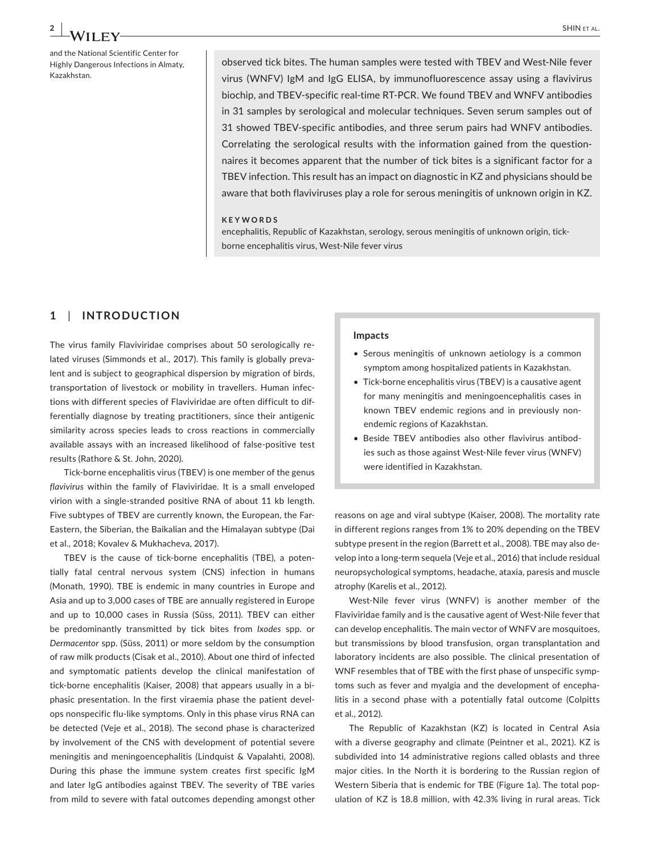and the National Scientific Center for Highly Dangerous Infections in Almaty, Kazakhstan.

observed tick bites. The human samples were tested with TBEV and West-Nile fever virus (WNFV) IgM and IgG ELISA, by immunofluorescence assay using a flavivirus biochip, and TBEV-specific real-time RT-PCR. We found TBEV and WNFV antibodies in 31 samples by serological and molecular techniques. Seven serum samples out of 31 showed TBEV-specific antibodies, and three serum pairs had WNFV antibodies. Correlating the serological results with the information gained from the questionnaires it becomes apparent that the number of tick bites is a significant factor for a TBEV infection. This result has an impact on diagnostic in KZ and physicians should be aware that both flaviviruses play a role for serous meningitis of unknown origin in KZ.

#### **KEYWORDS**

encephalitis, Republic of Kazakhstan, serology, serous meningitis of unknown origin, tickborne encephalitis virus, West-Nile fever virus

# **1**  | **INTRODUCTION**

The virus family Flaviviridae comprises about 50 serologically related viruses (Simmonds et al., 2017). This family is globally prevalent and is subject to geographical dispersion by migration of birds, transportation of livestock or mobility in travellers. Human infections with different species of Flaviviridae are often difficult to differentially diagnose by treating practitioners, since their antigenic similarity across species leads to cross reactions in commercially available assays with an increased likelihood of false-positive test results (Rathore & St. John, 2020).

Tick-borne encephalitis virus (TBEV) is one member of the genus *flavivirus* within the family of Flaviviridae. It is a small enveloped virion with a single-stranded positive RNA of about 11 kb length. Five subtypes of TBEV are currently known, the European, the Far-Eastern, the Siberian, the Baikalian and the Himalayan subtype (Dai et al., 2018; Kovalev & Mukhacheva, 2017).

TBEV is the cause of tick-borne encephalitis (TBE), a potentially fatal central nervous system (CNS) infection in humans (Monath, 1990). TBE is endemic in many countries in Europe and Asia and up to 3,000 cases of TBE are annually registered in Europe and up to 10,000 cases in Russia (Süss, 2011). TBEV can either be predominantly transmitted by tick bites from *Ixodes* spp. or *Dermacentor* spp. (Süss, 2011) or more seldom by the consumption of raw milk products (Cisak et al., 2010). About one third of infected and symptomatic patients develop the clinical manifestation of tick-borne encephalitis (Kaiser, 2008) that appears usually in a biphasic presentation. In the first viraemia phase the patient develops nonspecific flu-like symptoms. Only in this phase virus RNA can be detected (Veje et al., 2018). The second phase is characterized by involvement of the CNS with development of potential severe meningitis and meningoencephalitis (Lindquist & Vapalahti, 2008). During this phase the immune system creates first specific IgM and later IgG antibodies against TBEV. The severity of TBE varies from mild to severe with fatal outcomes depending amongst other

#### **Impacts**

- Serous meningitis of unknown aetiology is a common symptom among hospitalized patients in Kazakhstan.
- Tick-borne encephalitis virus (TBEV) is a causative agent for many meningitis and meningoencephalitis cases in known TBEV endemic regions and in previously nonendemic regions of Kazakhstan.
- Beside TBEV antibodies also other flavivirus antibodies such as those against West-Nile fever virus (WNFV) were identified in Kazakhstan.

reasons on age and viral subtype (Kaiser, 2008). The mortality rate in different regions ranges from 1% to 20% depending on the TBEV subtype present in the region (Barrett et al., 2008). TBE may also develop into a long-term sequela (Veje et al., 2016) that include residual neuropsychological symptoms, headache, ataxia, paresis and muscle atrophy (Karelis et al., 2012).

West-Nile fever virus (WNFV) is another member of the Flaviviridae family and is the causative agent of West-Nile fever that can develop encephalitis. The main vector of WNFV are mosquitoes, but transmissions by blood transfusion, organ transplantation and laboratory incidents are also possible. The clinical presentation of WNF resembles that of TBE with the first phase of unspecific symptoms such as fever and myalgia and the development of encephalitis in a second phase with a potentially fatal outcome (Colpitts et al., 2012).

The Republic of Kazakhstan (KZ) is located in Central Asia with a diverse geography and climate (Peintner et al., 2021). KZ is subdivided into 14 administrative regions called oblasts and three major cities. In the North it is bordering to the Russian region of Western Siberia that is endemic for TBE (Figure 1a). The total population of KZ is 18.8 million, with 42.3% living in rural areas. Tick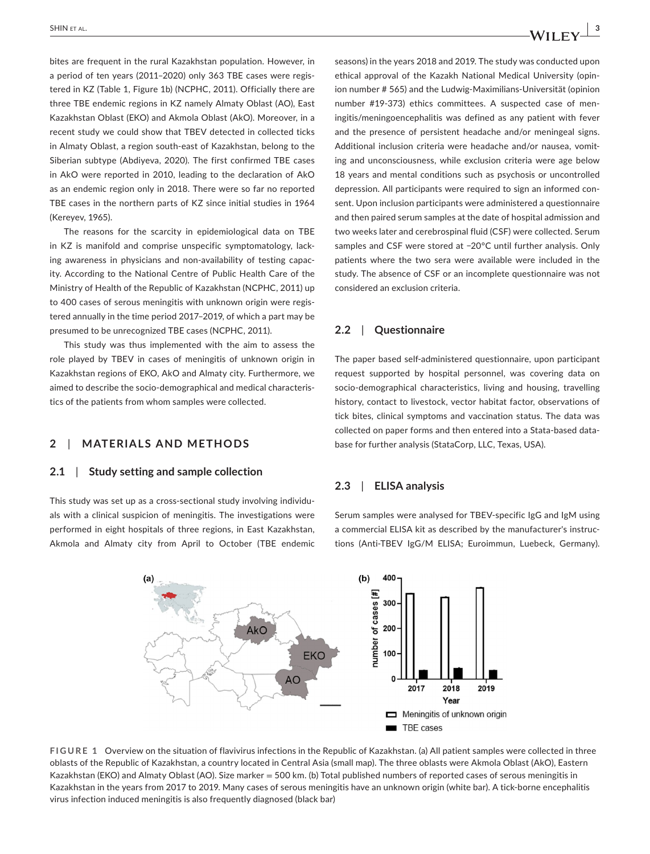bites are frequent in the rural Kazakhstan population. However, in a period of ten years (2011–2020) only 363 TBE cases were registered in KZ (Table 1, Figure 1b) (NCPHC, 2011). Officially there are three TBE endemic regions in KZ namely Almaty Oblast (AO), East Kazakhstan Oblast (EKO) and Akmola Oblast (AkO). Moreover, in a recent study we could show that TBEV detected in collected ticks in Almaty Oblast, a region south-east of Kazakhstan, belong to the Siberian subtype (Abdiyeva, 2020). The first confirmed TBE cases in AkO were reported in 2010, leading to the declaration of AkO as an endemic region only in 2018. There were so far no reported TBE cases in the northern parts of KZ since initial studies in 1964 (Kereyev, 1965).

The reasons for the scarcity in epidemiological data on TBE in KZ is manifold and comprise unspecific symptomatology, lacking awareness in physicians and non-availability of testing capacity. According to the National Centre of Public Health Care of the Ministry of Health of the Republic of Kazakhstan (NCPHC, 2011) up to 400 cases of serous meningitis with unknown origin were registered annually in the time period 2017–2019, of which a part may be presumed to be unrecognized TBE cases (NCPHC, 2011).

This study was thus implemented with the aim to assess the role played by TBEV in cases of meningitis of unknown origin in Kazakhstan regions of EKO, AkO and Almaty city. Furthermore, we aimed to describe the socio-demographical and medical characteristics of the patients from whom samples were collected.

# **2**  | **MATERIALS AND METHODS**

#### **2.1**  | **Study setting and sample collection**

This study was set up as a cross-sectional study involving individuals with a clinical suspicion of meningitis. The investigations were performed in eight hospitals of three regions, in East Kazakhstan, Akmola and Almaty city from April to October (TBE endemic seasons) in the years 2018 and 2019. The study was conducted upon ethical approval of the Kazakh National Medical University (opinion number # 565) and the Ludwig-Maximilians-Universität (opinion number #19-373) ethics committees. A suspected case of meningitis/meningoencephalitis was defined as any patient with fever and the presence of persistent headache and/or meningeal signs. Additional inclusion criteria were headache and/or nausea, vomiting and unconsciousness, while exclusion criteria were age below 18 years and mental conditions such as psychosis or uncontrolled depression. All participants were required to sign an informed consent. Upon inclusion participants were administered a questionnaire and then paired serum samples at the date of hospital admission and two weeks later and cerebrospinal fluid (CSF) were collected. Serum samples and CSF were stored at −20°C until further analysis. Only patients where the two sera were available were included in the study. The absence of CSF or an incomplete questionnaire was not considered an exclusion criteria.

# **2.2**  | **Questionnaire**

The paper based self-administered questionnaire, upon participant request supported by hospital personnel, was covering data on socio-demographical characteristics, living and housing, travelling history, contact to livestock, vector habitat factor, observations of tick bites, clinical symptoms and vaccination status. The data was collected on paper forms and then entered into a Stata-based database for further analysis (StataCorp, LLC, Texas, USA).

# **2.3**  | **ELISA analysis**

Serum samples were analysed for TBEV-specific IgG and IgM using a commercial ELISA kit as described by the manufacturer's instructions (Anti-TBEV IgG/M ELISA; Euroimmun, Luebeck, Germany).



**FIGURE 1** Overview on the situation of flavivirus infections in the Republic of Kazakhstan. (a) All patient samples were collected in three oblasts of the Republic of Kazakhstan, a country located in Central Asia (small map). The three oblasts were Akmola Oblast (AkO), Eastern Kazakhstan (EKO) and Almaty Oblast (AO). Size marker = 500 km. (b) Total published numbers of reported cases of serous meningitis in Kazakhstan in the years from 2017 to 2019. Many cases of serous meningitis have an unknown origin (white bar). A tick-borne encephalitis virus infection induced meningitis is also frequently diagnosed (black bar)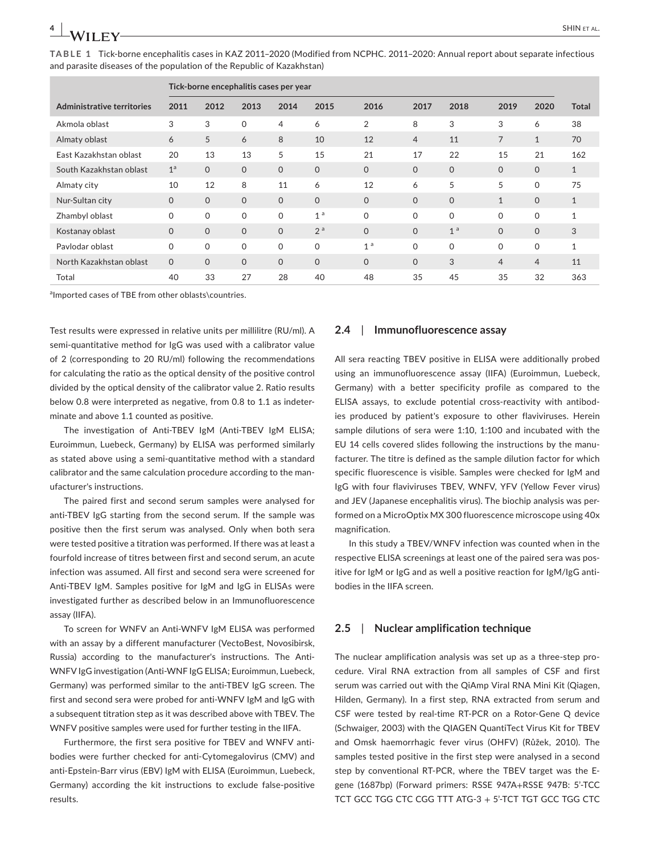**TABLE 1** Tick-borne encephalitis cases in KAZ 2011–2020 (Modified from NCPHC. 2011–2020: Annual report about separate infectious and parasite diseases of the population of the Republic of Kazakhstan)

|                                   |                | Tick-borne encephalitis cases per year |                     |                |                |                |                |                |                |                |              |
|-----------------------------------|----------------|----------------------------------------|---------------------|----------------|----------------|----------------|----------------|----------------|----------------|----------------|--------------|
| <b>Administrative territories</b> | 2011           | 2012                                   | 2013                | 2014           | 2015           | 2016           | 2017           | 2018           | 2019           | 2020           | <b>Total</b> |
| Akmola oblast                     | 3              | 3                                      | $\mathsf{O}\xspace$ | $\overline{4}$ | 6              | $\overline{2}$ | 8              | 3              | 3              | 6              | 38           |
| Almaty oblast                     | 6              | 5                                      | 6                   | 8              | 10             | 12             | $\overline{4}$ | 11             | 7              | $\mathbf{1}$   | 70           |
| East Kazakhstan oblast            | 20             | 13                                     | 13                  | 5              | 15             | 21             | 17             | 22             | 15             | 21             | 162          |
| South Kazakhstan oblast           | 1 <sup>a</sup> | $\Omega$                               | $\mathbf{O}$        | $\Omega$       | $\mathbf{O}$   | $\Omega$       | $\Omega$       | $\Omega$       | $\Omega$       | $\mathbf 0$    | $\mathbf{1}$ |
| Almaty city                       | 10             | 12                                     | 8                   | 11             | 6              | 12             | 6              | 5              | 5              | $\mathbf 0$    | 75           |
| Nur-Sultan city                   | $\Omega$       | $\Omega$                               | $\mathbf{O}$        | $\Omega$       | $\Omega$       | $\Omega$       | $\Omega$       | $\Omega$       | $\mathbf{1}$   | $\Omega$       | $\mathbf{1}$ |
| Zhambyl oblast                    | 0              | $\mathsf{O}$                           | $\mathbf 0$         | $\Omega$       | 1 <sup>a</sup> | $\Omega$       | $\Omega$       | $\Omega$       | $\mathbf 0$    | $\mathbf 0$    | $\mathbf{1}$ |
| Kostanay oblast                   | $\mathbf{O}$   | $\mathbf{O}$                           | $\mathbf{O}$        | $\mathbf{O}$   | 2 <sup>a</sup> | $\Omega$       | $\Omega$       | 1 <sup>a</sup> | $\Omega$       | $\mathbf{O}$   | 3            |
| Pavlodar oblast                   | $\mathbf 0$    | $\Omega$                               | $\mathbf 0$         | $\Omega$       | $\mathbf 0$    | 1 <sup>a</sup> | $\Omega$       | $\Omega$       | $\Omega$       | $\mathbf 0$    | $\mathbf{1}$ |
| North Kazakhstan oblast           | $\mathbf{O}$   | $\Omega$                               | $\mathbf{O}$        | $\Omega$       | $\overline{O}$ | $\Omega$       | $\Omega$       | 3              | $\overline{4}$ | $\overline{4}$ | 11           |
| Total                             | 40             | 33                                     | 27                  | 28             | 40             | 48             | 35             | 45             | 35             | 32             | 363          |

almported cases of TBE from other oblasts\countries.

Test results were expressed in relative units per millilitre (RU/ml). A semi-quantitative method for IgG was used with a calibrator value of 2 (corresponding to 20 RU/ml) following the recommendations for calculating the ratio as the optical density of the positive control divided by the optical density of the calibrator value 2. Ratio results below 0.8 were interpreted as negative, from 0.8 to 1.1 as indeterminate and above 1.1 counted as positive.

The investigation of Anti-TBEV IgM (Anti-TBEV IgM ELISA; Euroimmun, Luebeck, Germany) by ELISA was performed similarly as stated above using a semi-quantitative method with a standard calibrator and the same calculation procedure according to the manufacturer's instructions.

The paired first and second serum samples were analysed for anti-TBEV IgG starting from the second serum. If the sample was positive then the first serum was analysed. Only when both sera were tested positive a titration was performed. If there was at least a fourfold increase of titres between first and second serum, an acute infection was assumed. All first and second sera were screened for Anti-TBEV IgM. Samples positive for IgM and IgG in ELISAs were investigated further as described below in an Immunofluorescence assay (IIFA).

To screen for WNFV an Anti-WNFV IgM ELISA was performed with an assay by a different manufacturer (VectoBest, Novosibirsk, Russia) according to the manufacturer's instructions. The Anti-WNFV IgG investigation (Anti-WNF IgG ELISA; Euroimmun, Luebeck, Germany) was performed similar to the anti-TBEV IgG screen. The first and second sera were probed for anti-WNFV IgM and IgG with a subsequent titration step as it was described above with TBEV. The WNFV positive samples were used for further testing in the IIFA.

Furthermore, the first sera positive for TBEV and WNFV antibodies were further checked for anti-Cytomegalovirus (CMV) and anti-Epstein-Barr virus (EBV) IgM with ELISA (Euroimmun, Luebeck, Germany) according the kit instructions to exclude false-positive results.

## **2.4**  | **Immunofluorescence assay**

All sera reacting TBEV positive in ELISA were additionally probed using an immunofluorescence assay (IIFA) (Euroimmun, Luebeck, Germany) with a better specificity profile as compared to the ELISA assays, to exclude potential cross-reactivity with antibodies produced by patient's exposure to other flaviviruses. Herein sample dilutions of sera were 1:10, 1:100 and incubated with the EU 14 cells covered slides following the instructions by the manufacturer. The titre is defined as the sample dilution factor for which specific fluorescence is visible. Samples were checked for IgM and IgG with four flaviviruses TBEV, WNFV, YFV (Yellow Fever virus) and JEV (Japanese encephalitis virus). The biochip analysis was performed on a MicroOptix MX 300 fluorescence microscope using 40x magnification.

In this study a TBEV/WNFV infection was counted when in the respective ELISA screenings at least one of the paired sera was positive for IgM or IgG and as well a positive reaction for IgM/IgG antibodies in the IIFA screen.

## **2.5**  | **Nuclear amplification technique**

The nuclear amplification analysis was set up as a three-step procedure. Viral RNA extraction from all samples of CSF and first serum was carried out with the QiAmp Viral RNA Mini Kit (Qiagen, Hilden, Germany). In a first step, RNA extracted from serum and CSF were tested by real-time RT-PCR on a Rotor-Gene Q device (Schwaiger, 2003) with the QIAGEN QuantiTect Virus Kit for TBEV and Omsk haemorrhagic fever virus (OHFV) (Růžek, 2010). The samples tested positive in the first step were analysed in a second step by conventional RT-PCR, where the TBEV target was the Egene (1687bp) (Forward primers: RSSE 947A+RSSE 947B: 5'-TCC TCT GCC TGG CTC CGG TTT ATG-3 + 5'-TCT TGT GCC TGG CTC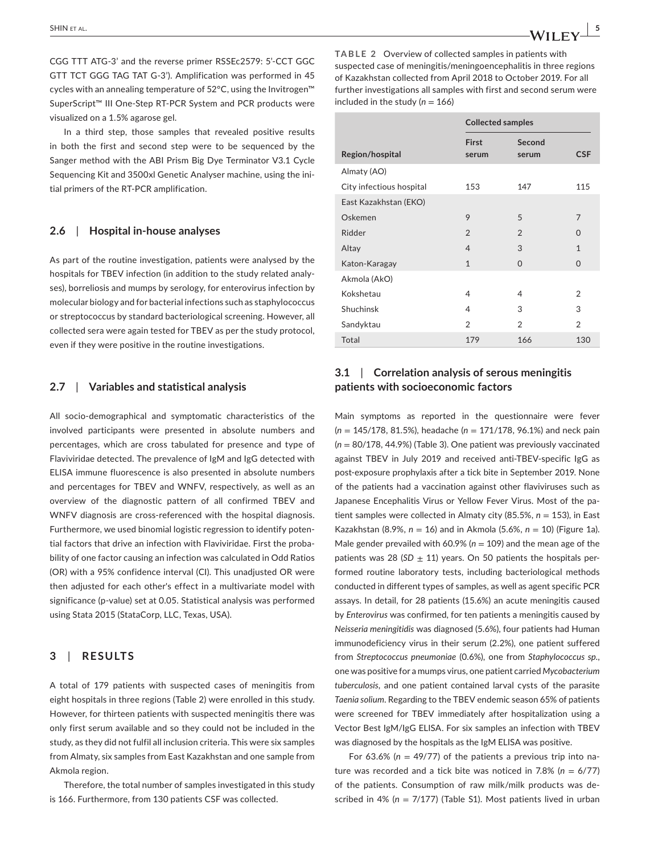CGG TTT ATG-3' and the reverse primer RSSEc2579: 5'-CCT GGC GTT TCT GGG TAG TAT G-3'). Amplification was performed in 45 cycles with an annealing temperature of 52°C, using the Invitrogen™ SuperScript™ III One-Step RT-PCR System and PCR products were visualized on a 1.5% agarose gel.

In a third step, those samples that revealed positive results in both the first and second step were to be sequenced by the Sanger method with the ABI Prism Big Dye Terminator V3.1 Cycle Sequencing Kit and 3500xl Genetic Analyser machine, using the initial primers of the RT-PCR amplification.

## **2.6**  | **Hospital in-house analyses**

As part of the routine investigation, patients were analysed by the hospitals for TBEV infection (in addition to the study related analyses), borreliosis and mumps by serology, for enterovirus infection by molecular biology and for bacterial infections such as staphylococcus or streptococcus by standard bacteriological screening. However, all collected sera were again tested for TBEV as per the study protocol, even if they were positive in the routine investigations.

## **2.7**  | **Variables and statistical analysis**

All socio-demographical and symptomatic characteristics of the involved participants were presented in absolute numbers and percentages, which are cross tabulated for presence and type of Flaviviridae detected. The prevalence of IgM and IgG detected with ELISA immune fluorescence is also presented in absolute numbers and percentages for TBEV and WNFV, respectively, as well as an overview of the diagnostic pattern of all confirmed TBEV and WNFV diagnosis are cross-referenced with the hospital diagnosis. Furthermore, we used binomial logistic regression to identify potential factors that drive an infection with Flaviviridae. First the probability of one factor causing an infection was calculated in Odd Ratios (OR) with a 95% confidence interval (CI). This unadjusted OR were then adjusted for each other's effect in a multivariate model with significance (p-value) set at 0.05. Statistical analysis was performed using Stata 2015 (StataCorp, LLC, Texas, USA).

# **3**  | **RESULTS**

A total of 179 patients with suspected cases of meningitis from eight hospitals in three regions (Table 2) were enrolled in this study. However, for thirteen patients with suspected meningitis there was only first serum available and so they could not be included in the study, as they did not fulfil all inclusion criteria. This were six samples from Almaty, six samples from East Kazakhstan and one sample from Akmola region.

Therefore, the total number of samples investigated in this study is 166. Furthermore, from 130 patients CSF was collected.

**TABLE 2** Overview of collected samples in patients with suspected case of meningitis/meningoencephalitis in three regions of Kazakhstan collected from April 2018 to October 2019. For all further investigations all samples with first and second serum were included in the study  $(n = 166)$ 

|                          | <b>Collected samples</b> |                 |                |
|--------------------------|--------------------------|-----------------|----------------|
| Region/hospital          | <b>First</b><br>serum    | Second<br>serum | <b>CSF</b>     |
| Almaty (AO)              |                          |                 |                |
| City infectious hospital | 153                      | 147             | 115            |
| East Kazakhstan (EKO)    |                          |                 |                |
| Oskemen                  | 9                        | 5               | $\overline{7}$ |
| Ridder                   | $\overline{2}$           | $\overline{2}$  | $\Omega$       |
| Altay                    | 4                        | 3               | $\mathbf{1}$   |
| Katon-Karagay            | $\mathbf{1}$             | $\Omega$        | $\Omega$       |
| Akmola (AkO)             |                          |                 |                |
| Kokshetau                | 4                        | 4               | 2              |
| Shuchinsk                | 4                        | 3               | 3              |
| Sandyktau                | 2                        | $\overline{2}$  | 2              |
| Total                    | 179                      | 166             | 130            |

# **3.1**  | **Correlation analysis of serous meningitis patients with socioeconomic factors**

Main symptoms as reported in the questionnaire were fever (*n* = 145/178, 81.5%), headache (*n* = 171/178, 96.1%) and neck pain (*n* = 80/178, 44.9%) (Table 3). One patient was previously vaccinated against TBEV in July 2019 and received anti-TBEV-specific IgG as post-exposure prophylaxis after a tick bite in September 2019. None of the patients had a vaccination against other flaviviruses such as Japanese Encephalitis Virus or Yellow Fever Virus. Most of the patient samples were collected in Almaty city (85.5%, *n* = 153), in East Kazakhstan (8.9%, *n* = 16) and in Akmola (5.6%, *n* = 10) (Figure 1a). Male gender prevailed with 60.9% ( $n = 109$ ) and the mean age of the patients was 28 ( $SD \pm 11$ ) years. On 50 patients the hospitals performed routine laboratory tests, including bacteriological methods conducted in different types of samples, as well as agent specific PCR assays. In detail, for 28 patients (15.6%) an acute meningitis caused by *Enterovirus* was confirmed, for ten patients a meningitis caused by *Neisseria meningitidis* was diagnosed (5.6%), four patients had Human immunodeficiency virus in their serum (2.2%), one patient suffered from *Streptococcus pneumoniae* (0.6%), one from *Staphylococcus sp*., one was positive for a mumps virus, one patient carried *Mycobacterium tuberculosis*, and one patient contained larval cysts of the parasite *Taenia solium*. Regarding to the TBEV endemic season 65% of patients were screened for TBEV immediately after hospitalization using a Vector Best IgM/IgG ELISA. For six samples an infection with TBEV was diagnosed by the hospitals as the IgM ELISA was positive.

For 63.6% ( $n = 49/77$ ) of the patients a previous trip into nature was recorded and a tick bite was noticed in 7.8% (*n* = 6/77) of the patients. Consumption of raw milk/milk products was described in 4% (n = 7/177) (Table S1). Most patients lived in urban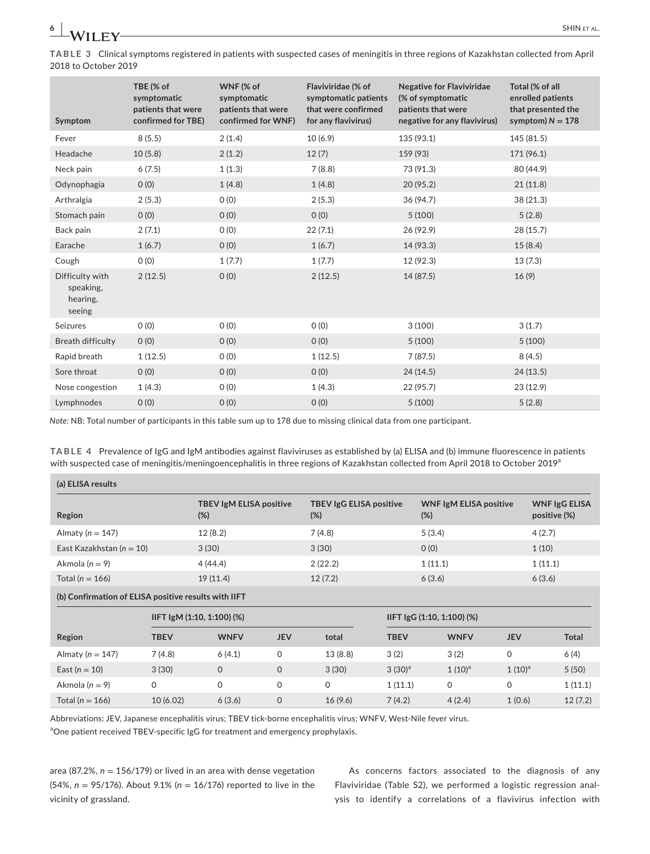**TABLE 3** Clinical symptoms registered in patients with suspected cases of meningitis in three regions of Kazakhstan collected from April 2018 to October 2019

| Symptom                                            | TBE (% of<br>symptomatic<br>patients that were<br>confirmed for TBE) | WNF (% of<br>symptomatic<br>patients that were<br>confirmed for WNF) | Flaviviridae (% of<br>symptomatic patients<br>that were confirmed<br>for any flavivirus) | <b>Negative for Flaviviridae</b><br>(% of symptomatic<br>patients that were<br>negative for any flavivirus) | Total (% of all<br>enrolled patients<br>that presented the<br>symptom) $N = 178$ |
|----------------------------------------------------|----------------------------------------------------------------------|----------------------------------------------------------------------|------------------------------------------------------------------------------------------|-------------------------------------------------------------------------------------------------------------|----------------------------------------------------------------------------------|
| Fever                                              | 8(5.5)                                                               | 2(1.4)                                                               | 10(6.9)                                                                                  | 135 (93.1)                                                                                                  | 145 (81.5)                                                                       |
| Headache                                           | 10(5.8)                                                              | 2(1.2)                                                               | 12(7)                                                                                    | 159 (93)                                                                                                    | 171 (96.1)                                                                       |
| Neck pain                                          | 6(7.5)                                                               | 1(1.3)                                                               | 7(8.8)                                                                                   | 73 (91.3)                                                                                                   | 80 (44.9)                                                                        |
| Odynophagia                                        | O(0)                                                                 | 1(4.8)                                                               | 1(4.8)                                                                                   | 20(95.2)                                                                                                    | 21(11.8)                                                                         |
| Arthralgia                                         | 2(5.3)                                                               | O(0)                                                                 | 2(5.3)                                                                                   | 36 (94.7)                                                                                                   | 38(21.3)                                                                         |
| Stomach pain                                       | O(0)                                                                 | O(0)                                                                 | O(0)                                                                                     | 5(100)                                                                                                      | 5(2.8)                                                                           |
| Back pain                                          | 2(7.1)                                                               | O(0)                                                                 | 22(7.1)                                                                                  | 26 (92.9)                                                                                                   | 28 (15.7)                                                                        |
| Earache                                            | 1(6.7)                                                               | O(0)                                                                 | 1(6.7)                                                                                   | 14 (93.3)                                                                                                   | 15(8.4)                                                                          |
| Cough                                              | 0(0)                                                                 | 1(7.7)                                                               | 1(7.7)                                                                                   | 12 (92.3)                                                                                                   | 13(7.3)                                                                          |
| Difficulty with<br>speaking.<br>hearing,<br>seeing | 2(12.5)                                                              | O(0)                                                                 | 2(12.5)                                                                                  | 14 (87.5)                                                                                                   | 16(9)                                                                            |
| Seizures                                           | O(0)                                                                 | O(0)                                                                 | O(0)                                                                                     | 3(100)                                                                                                      | 3(1.7)                                                                           |
| <b>Breath difficulty</b>                           | O(0)                                                                 | O(0)                                                                 | O(0)                                                                                     | 5(100)                                                                                                      | 5(100)                                                                           |
| Rapid breath                                       | 1(12.5)                                                              | O(0)                                                                 | 1(12.5)                                                                                  | 7(87.5)                                                                                                     | 8(4.5)                                                                           |
| Sore throat                                        | O(0)                                                                 | O(0)                                                                 | O(0)                                                                                     | 24(14.5)                                                                                                    | 24(13.5)                                                                         |
| Nose congestion                                    | 1(4.3)                                                               | O(0)                                                                 | 1(4.3)                                                                                   | 22 (95.7)                                                                                                   | 23 (12.9)                                                                        |
| Lymphnodes                                         | 0(0)                                                                 | O(0)                                                                 | O(0)                                                                                     | 5(100)                                                                                                      | 5(2.8)                                                                           |

*Note:* NB: Total number of participants in this table sum up to 178 due to missing clinical data from one participant.

**TABLE 4** Prevalence of IgG and IgM antibodies against flaviviruses as established by (a) ELISA and (b) immune fluorescence in patients with suspected case of meningitis/meningoencephalitis in three regions of Kazakhstan collected from April 2018 to October 2019<sup>a</sup>

| (a) ELISA results                                    |             |                                          |              |                                          |             |                                         |              |                                      |
|------------------------------------------------------|-------------|------------------------------------------|--------------|------------------------------------------|-------------|-----------------------------------------|--------------|--------------------------------------|
| Region                                               |             | <b>TBEV IgM ELISA positive</b><br>$(\%)$ |              | <b>TBEV IgG ELISA positive</b><br>$(\%)$ |             | <b>WNF IgM ELISA positive</b><br>$(\%)$ |              | <b>WNF IgG ELISA</b><br>positive (%) |
| Almaty ( $n = 147$ )                                 |             | 12(8.2)                                  |              | 7(4.8)                                   |             | 5(3.4)                                  |              | 4(2.7)                               |
| East Kazakhstan ( $n = 10$ )                         |             | 3(30)                                    |              | 3(30)                                    |             | 0(0)                                    |              | 1(10)                                |
| Akmola $(n = 9)$                                     |             | 4 (44.4)                                 |              | 2(22.2)                                  |             | 1(11.1)                                 |              | 1(11.1)                              |
| Total ( $n = 166$ )                                  |             | 19(11.4)                                 |              | 12(7.2)                                  |             | 6(3.6)                                  |              | 6(3.6)                               |
| (b) Confirmation of ELISA positive results with IIFT |             |                                          |              |                                          |             |                                         |              |                                      |
|                                                      |             | $IIFT$ IgM (1:10, 1:100) (%)             |              |                                          |             | IIFT IgG (1:10, 1:100) (%)              |              |                                      |
| Region                                               | <b>TBEV</b> | <b>WNFV</b>                              | <b>JEV</b>   | total                                    | <b>TBEV</b> | <b>WNFV</b>                             | <b>JEV</b>   | <b>Total</b>                         |
| Almaty ( $n = 147$ )                                 | 7(4.8)      | 6(4.1)                                   | 0            | 13(8.8)                                  | 3(2)        | 3(2)                                    | $\mathsf{O}$ | 6(4)                                 |
| East $(n = 10)$                                      | 3(30)       | $\mathsf{O}$                             | $\mathsf{O}$ | 3(30)                                    | $3(30)^a$   | $1(10)^a$                               | $1(10)^a$    | 5(50)                                |
| Akmola $(n = 9)$                                     | 0           | 0                                        | 0            | $\mathsf{O}$                             | 1(11.1)     | $\mathsf{O}$                            | $\mathsf{O}$ | 1(11.1)                              |
| Total ( $n = 166$ )                                  | 10(6.02)    | 6(3.6)                                   | $\mathbf 0$  | 16(9.6)                                  | 7(4.2)      | 4(2.4)                                  | 1(0.6)       | 12(7.2)                              |

Abbreviations: JEV, Japanese encephalitis virus; TBEV tick-borne encephalitis virus; WNFV, West-Nile fever virus.

<sup>a</sup>One patient received TBEV-specific IgG for treatment and emergency prophylaxis.

area (87.2%, *n* = 156/179) or lived in an area with dense vegetation (54%, *n* = 95/176). About 9.1% (*n* = 16/176) reported to live in the vicinity of grassland.

As concerns factors associated to the diagnosis of any Flaviviridae (Table S2), we performed a logistic regression analysis to identify a correlations of a flavivirus infection with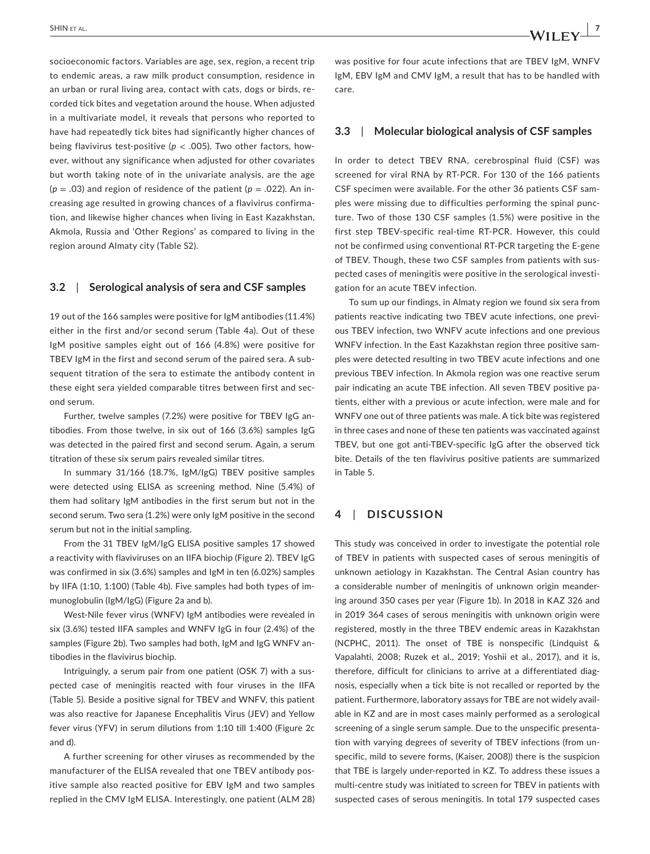socioeconomic factors. Variables are age, sex, region, a recent trip to endemic areas, a raw milk product consumption, residence in an urban or rural living area, contact with cats, dogs or birds, recorded tick bites and vegetation around the house. When adjusted in a multivariate model, it reveals that persons who reported to have had repeatedly tick bites had significantly higher chances of being flavivirus test-positive (*p* < .005). Two other factors, however, without any significance when adjusted for other covariates but worth taking note of in the univariate analysis, are the age  $(p = .03)$  and region of residence of the patient  $(p = .022)$ . An increasing age resulted in growing chances of a flavivirus confirmation, and likewise higher chances when living in East Kazakhstan, Akmola, Russia and 'Other Regions' as compared to living in the region around Almaty city (Table S2).

#### **3.2**  | **Serological analysis of sera and CSF samples**

19 out of the 166 samples were positive for IgM antibodies (11.4%) either in the first and/or second serum (Table 4a). Out of these IgM positive samples eight out of 166 (4.8%) were positive for TBEV IgM in the first and second serum of the paired sera. A subsequent titration of the sera to estimate the antibody content in these eight sera yielded comparable titres between first and second serum.

Further, twelve samples (7.2%) were positive for TBEV IgG antibodies. From those twelve, in six out of 166 (3.6%) samples IgG was detected in the paired first and second serum. Again, a serum titration of these six serum pairs revealed similar titres.

In summary 31/166 (18.7%, IgM/IgG) TBEV positive samples were detected using ELISA as screening method. Nine (5.4%) of them had solitary IgM antibodies in the first serum but not in the second serum. Two sera (1.2%) were only IgM positive in the second serum but not in the initial sampling.

From the 31 TBEV IgM/IgG ELISA positive samples 17 showed a reactivity with flaviviruses on an IIFA biochip (Figure 2). TBEV IgG was confirmed in six (3.6%) samples and IgM in ten (6.02%) samples by IIFA (1:10, 1:100) (Table 4b). Five samples had both types of immunoglobulin (IgM/IgG) (Figure 2a and b).

West-Nile fever virus (WNFV) IgM antibodies were revealed in six (3.6%) tested IIFA samples and WNFV IgG in four (2.4%) of the samples (Figure 2b). Two samples had both, IgM and IgG WNFV antibodies in the flavivirus biochip.

Intriguingly, a serum pair from one patient (OSK 7) with a suspected case of meningitis reacted with four viruses in the IIFA (Table 5). Beside a positive signal for TBEV and WNFV, this patient was also reactive for Japanese Encephalitis Virus (JEV) and Yellow fever virus (YFV) in serum dilutions from 1:10 till 1:400 (Figure 2c and d).

A further screening for other viruses as recommended by the manufacturer of the ELISA revealed that one TBEV antibody positive sample also reacted positive for EBV IgM and two samples replied in the CMV IgM ELISA. Interestingly, one patient (ALM 28)

was positive for four acute infections that are TBEV IgM, WNFV IgM, EBV IgM and CMV IgM, a result that has to be handled with care.

#### **3.3**  | **Molecular biological analysis of CSF samples**

In order to detect TBEV RNA, cerebrospinal fluid (CSF) was screened for viral RNA by RT-PCR. For 130 of the 166 patients CSF specimen were available. For the other 36 patients CSF samples were missing due to difficulties performing the spinal puncture. Two of those 130 CSF samples (1.5%) were positive in the first step TBEV-specific real-time RT-PCR. However, this could not be confirmed using conventional RT-PCR targeting the E-gene of TBEV. Though, these two CSF samples from patients with suspected cases of meningitis were positive in the serological investigation for an acute TBEV infection.

To sum up our findings, in Almaty region we found six sera from patients reactive indicating two TBEV acute infections, one previous TBEV infection, two WNFV acute infections and one previous WNFV infection. In the East Kazakhstan region three positive samples were detected resulting in two TBEV acute infections and one previous TBEV infection. In Akmola region was one reactive serum pair indicating an acute TBE infection. All seven TBEV positive patients, either with a previous or acute infection, were male and for WNFV one out of three patients was male. A tick bite was registered in three cases and none of these ten patients was vaccinated against TBEV, but one got anti-TBEV-specific IgG after the observed tick bite. Details of the ten flavivirus positive patients are summarized in Table 5.

# **4**  | **DISCUSSION**

This study was conceived in order to investigate the potential role of TBEV in patients with suspected cases of serous meningitis of unknown aetiology in Kazakhstan. The Central Asian country has a considerable number of meningitis of unknown origin meandering around 350 cases per year (Figure 1b). In 2018 in KAZ 326 and in 2019 364 cases of serous meningitis with unknown origin were registered, mostly in the three TBEV endemic areas in Kazakhstan (NCPHC, 2011). The onset of TBE is nonspecific (Lindquist & Vapalahti, 2008; Ruzek et al., 2019; Yoshii et al., 2017), and it is, therefore, difficult for clinicians to arrive at a differentiated diagnosis, especially when a tick bite is not recalled or reported by the patient. Furthermore, laboratory assays for TBE are not widely available in KZ and are in most cases mainly performed as a serological screening of a single serum sample. Due to the unspecific presentation with varying degrees of severity of TBEV infections (from unspecific, mild to severe forms, (Kaiser, 2008)) there is the suspicion that TBE is largely under-reported in KZ. To address these issues a multi-centre study was initiated to screen for TBEV in patients with suspected cases of serous meningitis. In total 179 suspected cases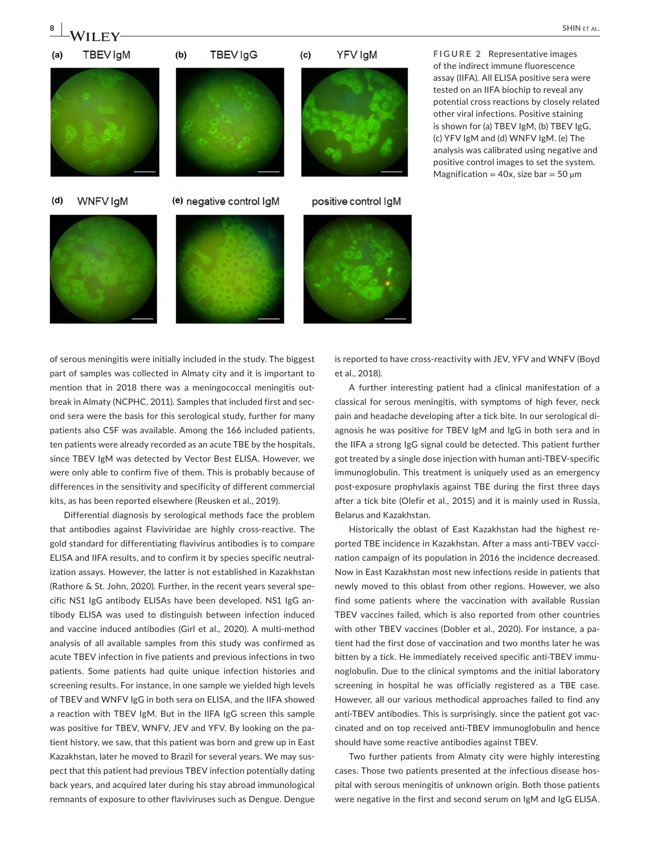

**FIGURE 2** Representative images of the indirect immune fluorescence assay (IIFA). All ELISA positive sera were tested on an IIFA biochip to reveal any potential cross reactions by closely related other viral infections. Positive staining is shown for (a) TBEV IgM, (b) TBEV IgG, (c) YFV IgM and (d) WNFV IgM. (e) The analysis was calibrated using negative and positive control images to set the system. Magnification = 40x, size bar = 50  $\mu$ m

of serous meningitis were initially included in the study. The biggest part of samples was collected in Almaty city and it is important to mention that in 2018 there was a meningococcal meningitis outbreak in Almaty (NCPHC, 2011). Samples that included first and second sera were the basis for this serological study, further for many patients also CSF was available. Among the 166 included patients, ten patients were already recorded as an acute TBE by the hospitals, since TBEV IgM was detected by Vector Best ELISA. However, we were only able to confirm five of them. This is probably because of differences in the sensitivity and specificity of different commercial kits, as has been reported elsewhere (Reusken et al., 2019).

Differential diagnosis by serological methods face the problem that antibodies against Flaviviridae are highly cross-reactive. The gold standard for differentiating flavivirus antibodies is to compare ELISA and IIFA results, and to confirm it by species specific neutralization assays. However, the latter is not established in Kazakhstan (Rathore & St. John, 2020). Further, in the recent years several specific NS1 IgG antibody ELISAs have been developed. NS1 IgG antibody ELISA was used to distinguish between infection induced and vaccine induced antibodies (Girl et al., 2020). A multi-method analysis of all available samples from this study was confirmed as acute TBEV infection in five patients and previous infections in two patients. Some patients had quite unique infection histories and screening results. For instance, in one sample we yielded high levels of TBEV and WNFV IgG in both sera on ELISA, and the IIFA showed a reaction with TBEV IgM. But in the IIFA IgG screen this sample was positive for TBEV, WNFV, JEV and YFV. By looking on the patient history, we saw, that this patient was born and grew up in East Kazakhstan, later he moved to Brazil for several years. We may suspect that this patient had previous TBEV infection potentially dating back years, and acquired later during his stay abroad immunological remnants of exposure to other flaviviruses such as Dengue. Dengue

is reported to have cross-reactivity with JEV, YFV and WNFV (Boyd et al., 2018).

A further interesting patient had a clinical manifestation of a classical for serous meningitis, with symptoms of high fever, neck pain and headache developing after a tick bite. In our serological diagnosis he was positive for TBEV IgM and IgG in both sera and in the IIFA a strong IgG signal could be detected. This patient further got treated by a single dose injection with human anti-TBEV-specific immunoglobulin. This treatment is uniquely used as an emergency post-exposure prophylaxis against TBE during the first three days after a tick bite (Olefir et al., 2015) and it is mainly used in Russia, Belarus and Kazakhstan.

Historically the oblast of East Kazakhstan had the highest reported TBE incidence in Kazakhstan. After a mass anti-TBEV vaccination campaign of its population in 2016 the incidence decreased. Now in East Kazakhstan most new infections reside in patients that newly moved to this oblast from other regions. However, we also find some patients where the vaccination with available Russian TBEV vaccines failed, which is also reported from other countries with other TBEV vaccines (Dobler et al., 2020). For instance, a patient had the first dose of vaccination and two months later he was bitten by a tick. He immediately received specific anti-TBEV immunoglobulin. Due to the clinical symptoms and the initial laboratory screening in hospital he was officially registered as a TBE case. However, all our various methodical approaches failed to find any anti-TBEV antibodies. This is surprisingly, since the patient got vaccinated and on top received anti-TBEV immunoglobulin and hence should have some reactive antibodies against TBEV.

Two further patients from Almaty city were highly interesting cases. Those two patients presented at the infectious disease hospital with serous meningitis of unknown origin. Both those patients were negative in the first and second serum on IgM and IgG ELISA.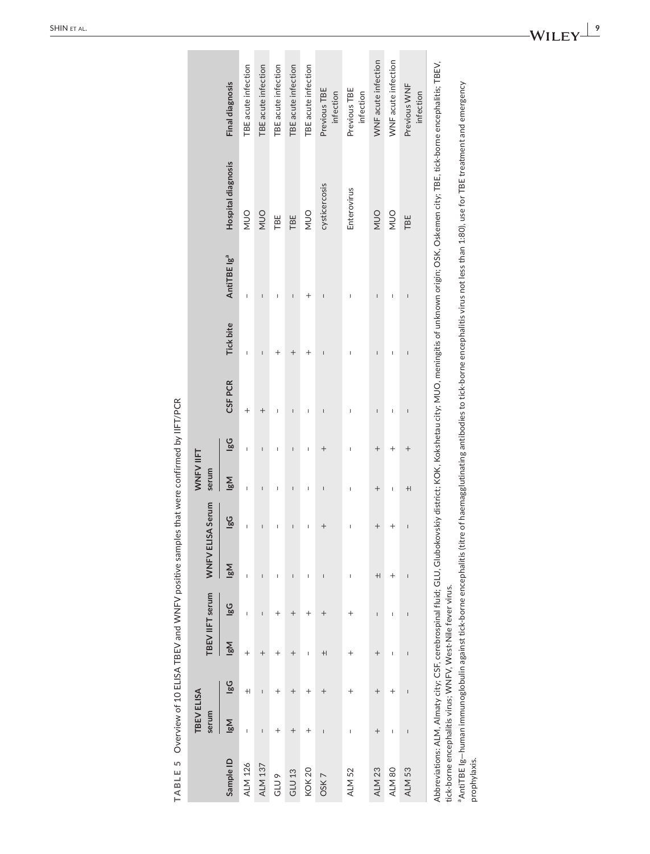|                   | <b>TBEV ELISA</b><br>serum            |                                                                                                                                                                                                                                                                                                                                                                                  |             | TBEVIIFT serum | WNFV ELISA Serum                                                                                                                                                                                                                                                                                                                                                                 |                          | WNFV IIFT<br>serum                                                                                                                                                                                                                                                                                                                                                               |                                                                                                                                                                                                                                                                                                                                                                                  |                |                  |                         |                                                                                                                                                                                                       |                           |
|-------------------|---------------------------------------|----------------------------------------------------------------------------------------------------------------------------------------------------------------------------------------------------------------------------------------------------------------------------------------------------------------------------------------------------------------------------------|-------------|----------------|----------------------------------------------------------------------------------------------------------------------------------------------------------------------------------------------------------------------------------------------------------------------------------------------------------------------------------------------------------------------------------|--------------------------|----------------------------------------------------------------------------------------------------------------------------------------------------------------------------------------------------------------------------------------------------------------------------------------------------------------------------------------------------------------------------------|----------------------------------------------------------------------------------------------------------------------------------------------------------------------------------------------------------------------------------------------------------------------------------------------------------------------------------------------------------------------------------|----------------|------------------|-------------------------|-------------------------------------------------------------------------------------------------------------------------------------------------------------------------------------------------------|---------------------------|
| Sample ID         | <b>N</b> al                           | ဖြွ                                                                                                                                                                                                                                                                                                                                                                              | <b>N</b> al | lgG            | <b>N</b> al                                                                                                                                                                                                                                                                                                                                                                      | ပ္တရ                     | <b>N</b> al                                                                                                                                                                                                                                                                                                                                                                      | ဖြွ                                                                                                                                                                                                                                                                                                                                                                              | <b>CSF PCR</b> | <b>Tick bite</b> | AntiTBE Ig <sup>a</sup> | <b>Hospital diagnosis</b>                                                                                                                                                                             | <b>Final diagnosis</b>    |
| <b>ALM 126</b>    | $\overline{1}$                        | $\pm$                                                                                                                                                                                                                                                                                                                                                                            | $^{+}$      | Ï              | $\overline{1}$                                                                                                                                                                                                                                                                                                                                                                   | $\overline{1}$           | I                                                                                                                                                                                                                                                                                                                                                                                | $\mathbf{I}$                                                                                                                                                                                                                                                                                                                                                                     | $^+$           | Ï                | I                       | OUN                                                                                                                                                                                                   | TBE acute infection       |
| <b>ALM 137</b>    | $\begin{array}{c} \hline \end{array}$ | $\begin{array}{c} \rule{0pt}{2.5ex} \rule{0pt}{2.5ex} \rule{0pt}{2.5ex} \rule{0pt}{2.5ex} \rule{0pt}{2.5ex} \rule{0pt}{2.5ex} \rule{0pt}{2.5ex} \rule{0pt}{2.5ex} \rule{0pt}{2.5ex} \rule{0pt}{2.5ex} \rule{0pt}{2.5ex} \rule{0pt}{2.5ex} \rule{0pt}{2.5ex} \rule{0pt}{2.5ex} \rule{0pt}{2.5ex} \rule{0pt}{2.5ex} \rule{0pt}{2.5ex} \rule{0pt}{2.5ex} \rule{0pt}{2.5ex} \rule{0$ | $^{+}$      | $\overline{1}$ | $\overline{1}$                                                                                                                                                                                                                                                                                                                                                                   | $\overline{\phantom{a}}$ | $\overline{\phantom{a}}$                                                                                                                                                                                                                                                                                                                                                         | $\begin{array}{c} \rule{0pt}{2.5ex} \rule{0pt}{2.5ex} \rule{0pt}{2.5ex} \rule{0pt}{2.5ex} \rule{0pt}{2.5ex} \rule{0pt}{2.5ex} \rule{0pt}{2.5ex} \rule{0pt}{2.5ex} \rule{0pt}{2.5ex} \rule{0pt}{2.5ex} \rule{0pt}{2.5ex} \rule{0pt}{2.5ex} \rule{0pt}{2.5ex} \rule{0pt}{2.5ex} \rule{0pt}{2.5ex} \rule{0pt}{2.5ex} \rule{0pt}{2.5ex} \rule{0pt}{2.5ex} \rule{0pt}{2.5ex} \rule{0$ | $^{+}$         | $\overline{1}$   | $\overline{1}$          | OUN                                                                                                                                                                                                   | TBE acute infection       |
| GLU <sub>9</sub>  | $^+$                                  | $^{+}$                                                                                                                                                                                                                                                                                                                                                                           | $^+$        | $^+$           | I                                                                                                                                                                                                                                                                                                                                                                                | ı                        | I                                                                                                                                                                                                                                                                                                                                                                                | ı                                                                                                                                                                                                                                                                                                                                                                                | Ï              |                  | I                       | TBE                                                                                                                                                                                                   | TBE acute infection       |
| GLU <sub>13</sub> | $^{+}$                                | $^{+}$                                                                                                                                                                                                                                                                                                                                                                           | $^{+}$      | $^{+}$         | $\begin{array}{c} \rule{0pt}{2.5ex} \rule{0pt}{2.5ex} \rule{0pt}{2.5ex} \rule{0pt}{2.5ex} \rule{0pt}{2.5ex} \rule{0pt}{2.5ex} \rule{0pt}{2.5ex} \rule{0pt}{2.5ex} \rule{0pt}{2.5ex} \rule{0pt}{2.5ex} \rule{0pt}{2.5ex} \rule{0pt}{2.5ex} \rule{0pt}{2.5ex} \rule{0pt}{2.5ex} \rule{0pt}{2.5ex} \rule{0pt}{2.5ex} \rule{0pt}{2.5ex} \rule{0pt}{2.5ex} \rule{0pt}{2.5ex} \rule{0$ | $\overline{\phantom{a}}$ | $\begin{array}{c} \rule{0pt}{2.5ex} \rule{0pt}{2.5ex} \rule{0pt}{2.5ex} \rule{0pt}{2.5ex} \rule{0pt}{2.5ex} \rule{0pt}{2.5ex} \rule{0pt}{2.5ex} \rule{0pt}{2.5ex} \rule{0pt}{2.5ex} \rule{0pt}{2.5ex} \rule{0pt}{2.5ex} \rule{0pt}{2.5ex} \rule{0pt}{2.5ex} \rule{0pt}{2.5ex} \rule{0pt}{2.5ex} \rule{0pt}{2.5ex} \rule{0pt}{2.5ex} \rule{0pt}{2.5ex} \rule{0pt}{2.5ex} \rule{0$ | $\overline{1}$                                                                                                                                                                                                                                                                                                                                                                   | $\overline{1}$ | $\overline{+}$   | $\mathsf{I}$            | TBE                                                                                                                                                                                                   | TBE acute infection       |
| <b>KOK 20</b>     | $^+$                                  | $^{+}$                                                                                                                                                                                                                                                                                                                                                                           | I           | $\,{}^+$       | I                                                                                                                                                                                                                                                                                                                                                                                | I                        | I                                                                                                                                                                                                                                                                                                                                                                                | I                                                                                                                                                                                                                                                                                                                                                                                | I              | $^+$             | $^{+}$                  | OUN                                                                                                                                                                                                   | TBE acute infection       |
| OSK7              | I                                     | $^{+}$                                                                                                                                                                                                                                                                                                                                                                           | $+$         | $^{+}$         |                                                                                                                                                                                                                                                                                                                                                                                  | $^+$                     | I                                                                                                                                                                                                                                                                                                                                                                                | $^{+}$                                                                                                                                                                                                                                                                                                                                                                           | I              |                  | Ï                       | cysticercosis                                                                                                                                                                                         | Previous TBE<br>infection |
| ALM 52            | I                                     | $\overline{ }$                                                                                                                                                                                                                                                                                                                                                                   | $\,{}^+$    | $^{+}$         | I                                                                                                                                                                                                                                                                                                                                                                                | I                        | I                                                                                                                                                                                                                                                                                                                                                                                | ı                                                                                                                                                                                                                                                                                                                                                                                | Ī              | Ï                | I                       | Enterovirus                                                                                                                                                                                           | Previous TBE<br>infection |
| ALM <sub>23</sub> | $^{+}$                                | $^{+}$                                                                                                                                                                                                                                                                                                                                                                           | $^{+}$      | $\overline{1}$ | $+$                                                                                                                                                                                                                                                                                                                                                                              | $^{+}$                   | $^{+}$                                                                                                                                                                                                                                                                                                                                                                           | $^{+}$                                                                                                                                                                                                                                                                                                                                                                           | $\overline{1}$ | Ï                | $\overline{1}$          | OUN                                                                                                                                                                                                   | WNF acute infection       |
| ALM 80            | I                                     |                                                                                                                                                                                                                                                                                                                                                                                  | I           | I              | $^+$                                                                                                                                                                                                                                                                                                                                                                             | $\overline{1}$           | I                                                                                                                                                                                                                                                                                                                                                                                | $\overline{+}$                                                                                                                                                                                                                                                                                                                                                                   | Ī              | Ï                | $\mathsf{I}$            | OUN                                                                                                                                                                                                   | WNF acute infection       |
| ALM <sub>53</sub> | Ï                                     | I                                                                                                                                                                                                                                                                                                                                                                                | Ï           | I              | I                                                                                                                                                                                                                                                                                                                                                                                | $\overline{1}$           | $+$                                                                                                                                                                                                                                                                                                                                                                              | $^{+}$                                                                                                                                                                                                                                                                                                                                                                           | I              |                  | $\overline{1}$          | TBE                                                                                                                                                                                                   | Previous WNF<br>infection |
| $\frac{1}{2}$     |                                       |                                                                                                                                                                                                                                                                                                                                                                                  |             |                |                                                                                                                                                                                                                                                                                                                                                                                  |                          |                                                                                                                                                                                                                                                                                                                                                                                  |                                                                                                                                                                                                                                                                                                                                                                                  |                |                  |                         | Abbreviations: ALM, Almaty city; CSF, cerebrospinal fluid; GLU, Glubokovskiy district; KOK, Kokshetau city; NUO, meningitis of unknown origin; OSK, Oskemen city; TBE, tick-borne encephalitis; TBEV, |                           |

TABLE 5 Overview of 10 ELISA TBEV and WNFV positive samples that were confirmed by IIFT/PCR **TABLE 5** Overview of 10 ELISA TBEV and WNFV positive samples that were confirmed by IIFT/PCR

 $\sim$ 

tick-borne encephalitis virus; WNFV, West-Nile fever virus. tick-borne encephalitis virus; WNFV, West-Nile fever virus.

 $\sim$ 

<sup>a</sup>AntiTBE Ig-human immunoglobulin against tick-borne encephalitis (titre of haemagglutinating antibodies to tick-borne encephalitis virus not less than 1:80), use for TBE treatment and emergency aAntiTBE Ig—human immunoglobulin against tick-borne encephalitis (titre of haemagglutinating antibodies to tick-borne encephalitis virus not less than 1:80), use for TBE treatment and emergency prophylaxis. prophylaxis.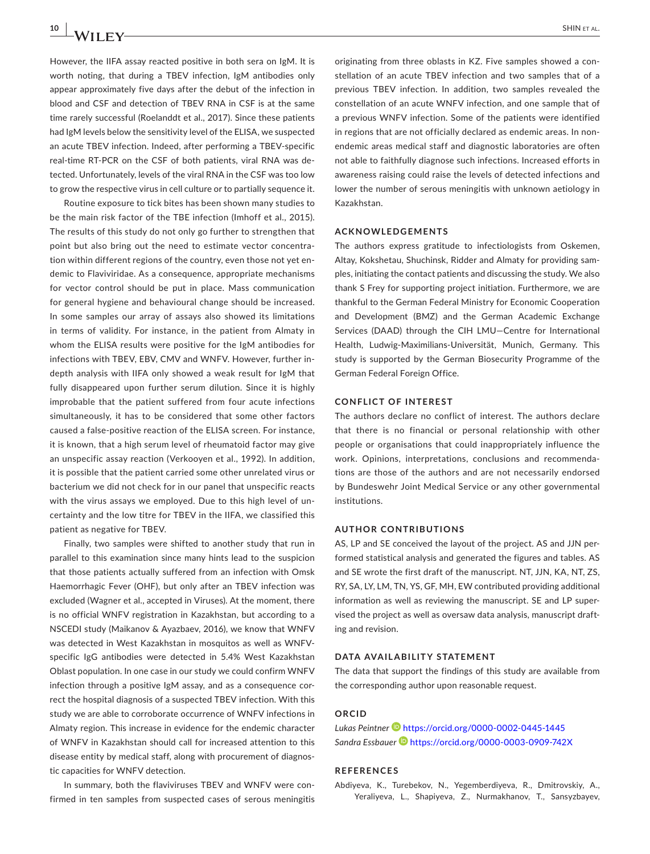However, the IIFA assay reacted positive in both sera on IgM. It is worth noting, that during a TBEV infection, IgM antibodies only appear approximately five days after the debut of the infection in blood and CSF and detection of TBEV RNA in CSF is at the same time rarely successful (Roelanddt et al., 2017). Since these patients had IgM levels below the sensitivity level of the ELISA, we suspected an acute TBEV infection. Indeed, after performing a TBEV-specific real-time RT-PCR on the CSF of both patients, viral RNA was detected. Unfortunately, levels of the viral RNA in the CSF was too low to grow the respective virus in cell culture or to partially sequence it.

Routine exposure to tick bites has been shown many studies to be the main risk factor of the TBE infection (Imhoff et al., 2015). The results of this study do not only go further to strengthen that point but also bring out the need to estimate vector concentration within different regions of the country, even those not yet endemic to Flaviviridae. As a consequence, appropriate mechanisms for vector control should be put in place. Mass communication for general hygiene and behavioural change should be increased. In some samples our array of assays also showed its limitations in terms of validity. For instance, in the patient from Almaty in whom the ELISA results were positive for the IgM antibodies for infections with TBEV, EBV, CMV and WNFV. However, further indepth analysis with IIFA only showed a weak result for IgM that fully disappeared upon further serum dilution. Since it is highly improbable that the patient suffered from four acute infections simultaneously, it has to be considered that some other factors caused a false-positive reaction of the ELISA screen. For instance, it is known, that a high serum level of rheumatoid factor may give an unspecific assay reaction (Verkooyen et al., 1992). In addition, it is possible that the patient carried some other unrelated virus or bacterium we did not check for in our panel that unspecific reacts with the virus assays we employed. Due to this high level of uncertainty and the low titre for TBEV in the IIFA, we classified this patient as negative for TBEV.

Finally, two samples were shifted to another study that run in parallel to this examination since many hints lead to the suspicion that those patients actually suffered from an infection with Omsk Haemorrhagic Fever (OHF), but only after an TBEV infection was excluded (Wagner et al., accepted in Viruses). At the moment, there is no official WNFV registration in Kazakhstan, but according to a NSCEDI study (Maikanov & Ayazbaev, 2016), we know that WNFV was detected in West Kazakhstan in mosquitos as well as WNFVspecific IgG antibodies were detected in 5.4% West Kazakhstan Oblast population. In one case in our study we could confirm WNFV infection through a positive IgM assay, and as a consequence correct the hospital diagnosis of a suspected TBEV infection. With this study we are able to corroborate occurrence of WNFV infections in Almaty region. This increase in evidence for the endemic character of WNFV in Kazakhstan should call for increased attention to this disease entity by medical staff, along with procurement of diagnostic capacities for WNFV detection.

In summary, both the flaviviruses TBEV and WNFV were confirmed in ten samples from suspected cases of serous meningitis originating from three oblasts in KZ. Five samples showed a constellation of an acute TBEV infection and two samples that of a previous TBEV infection. In addition, two samples revealed the constellation of an acute WNFV infection, and one sample that of a previous WNFV infection. Some of the patients were identified in regions that are not officially declared as endemic areas. In nonendemic areas medical staff and diagnostic laboratories are often not able to faithfully diagnose such infections. Increased efforts in awareness raising could raise the levels of detected infections and lower the number of serous meningitis with unknown aetiology in Kazakhstan.

#### **ACKNOWLEDGEMENTS**

The authors express gratitude to infectiologists from Oskemen, Altay, Kokshetau, Shuchinsk, Ridder and Almaty for providing samples, initiating the contact patients and discussing the study. We also thank S Frey for supporting project initiation. Furthermore, we are thankful to the German Federal Ministry for Economic Cooperation and Development (BMZ) and the German Academic Exchange Services (DAAD) through the CIH LMU—Centre for International Health, Ludwig-Maximilians-Universität, Munich, Germany. This study is supported by the German Biosecurity Programme of the German Federal Foreign Office.

#### **CONFLICT OF INTEREST**

The authors declare no conflict of interest. The authors declare that there is no financial or personal relationship with other people or organisations that could inappropriately influence the work. Opinions, interpretations, conclusions and recommendations are those of the authors and are not necessarily endorsed by Bundeswehr Joint Medical Service or any other governmental institutions.

#### **AUTHOR CONTRIBUTIONS**

AS, LP and SE conceived the layout of the project. AS and JJN performed statistical analysis and generated the figures and tables. AS and SE wrote the first draft of the manuscript. NT, JJN, KA, NT, ZS, RY, SA, LY, LM, TN, YS, GF, MH, EW contributed providing additional information as well as reviewing the manuscript. SE and LP supervised the project as well as oversaw data analysis, manuscript drafting and revision.

#### **DATA AVAILABILITY STATEMENT**

The data that support the findings of this study are available from the corresponding author upon reasonable request.

## **ORCID**

*Lukas Peintner* <https://orcid.org/0000-0002-0445-1445> *Sandra Essbaue[r](https://orcid.org/0000-0003-0909-742X)* <https://orcid.org/0000-0003-0909-742X>

#### **REFERENCES**

Abdiyeva, K., Turebekov, N., Yegemberdiyeva, R., Dmitrovskiy, A., Yeraliyeva, L., Shapiyeva, Z., Nurmakhanov, T., Sansyzbayev,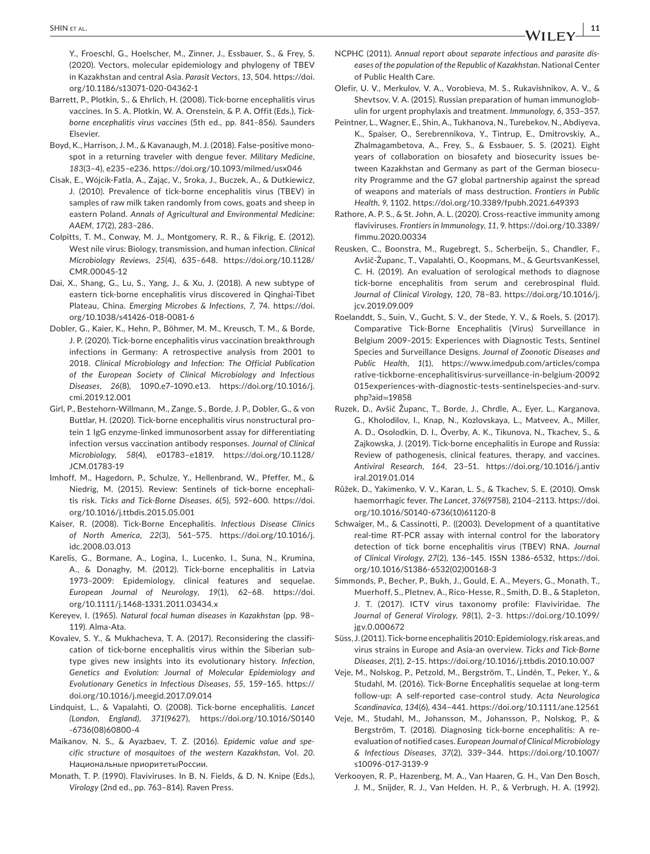Y., Froeschl, G., Hoelscher, M., Zinner, J., Essbauer, S., & Frey, S. (2020). Vectors, molecular epidemiology and phylogeny of TBEV in Kazakhstan and central Asia. *Parasit Vectors*, *13*, 504. [https://doi.](https://doi.org/10.1186/s13071-020-04362-1) [org/10.1186/s13071-020-04362-1](https://doi.org/10.1186/s13071-020-04362-1)

- Barrett, P., Plotkin, S., & Ehrlich, H. (2008). Tick-borne encephalitis virus vaccines. In S. A. Plotkin, W. A. Orenstein, & P. A. Offit (Eds.), *Tickborne encephalitis virus vaccines* (5th ed., pp. 841–856). Saunders Elsevier.
- Boyd, K., Harrison, J. M., & Kavanaugh, M. J. (2018). False-positive monospot in a returning traveler with dengue fever. *Military Medicine*, *183*(3–4), e235–e236.<https://doi.org/10.1093/milmed/usx046>
- Cisak, E., Wójcik-Fatla, A., Zając, V., Sroka, J., Buczek, A., & Dutkiewicz, J. (2010). Prevalence of tick-borne encephalitis virus (TBEV) in samples of raw milk taken randomly from cows, goats and sheep in eastern Poland. *Annals of Agricultural and Environmental Medicine: AAEM*, *17*(2), 283–286.
- Colpitts, T. M., Conway, M. J., Montgomery, R. R., & Fikrig, E. (2012). West nile virus: Biology, transmission, and human infection. *Clinical Microbiology Reviews*, *25*(4), 635–648. [https://doi.org/10.1128/](https://doi.org/10.1128/CMR.00045-12) [CMR.00045-12](https://doi.org/10.1128/CMR.00045-12)
- Dai, X., Shang, G., Lu, S., Yang, J., & Xu, J. (2018). A new subtype of eastern tick-borne encephalitis virus discovered in Qinghai-Tibet Plateau, China. *Emerging Microbes & Infections*, *7*, 74. [https://doi.](https://doi.org/10.1038/s41426-018-0081-6) [org/10.1038/s41426-018-0081-6](https://doi.org/10.1038/s41426-018-0081-6)
- Dobler, G., Kaier, K., Hehn, P., Böhmer, M. M., Kreusch, T. M., & Borde, J. P. (2020). Tick-borne encephalitis virus vaccination breakthrough infections in Germany: A retrospective analysis from 2001 to 2018. *Clinical Microbiology and Infection: The Official Publication of the European Society of Clinical Microbiology and Infectious Diseases*, *26*(8), 1090.e7–1090.e13. [https://doi.org/10.1016/j.](https://doi.org/10.1016/j.cmi.2019.12.001) [cmi.2019.12.001](https://doi.org/10.1016/j.cmi.2019.12.001)
- Girl, P., Bestehorn-Willmann, M., Zange, S., Borde, J. P., Dobler, G., & von Buttlar, H. (2020). Tick-borne encephalitis virus nonstructural protein 1 IgG enzyme-linked immunosorbent assay for differentiating infection versus vaccination antibody responses. *Journal of Clinical Microbiology*, *58*(4), e01783–e1819. [https://doi.org/10.1128/](https://doi.org/10.1128/JCM.01783-19) [JCM.01783-19](https://doi.org/10.1128/JCM.01783-19)
- Imhoff, M., Hagedorn, P., Schulze, Y., Hellenbrand, W., Pfeffer, M., & Niedrig, M. (2015). Review: Sentinels of tick-borne encephalitis risk. *Ticks and Tick-Borne Diseases*, *6*(5), 592–600. [https://doi.](https://doi.org/10.1016/j.ttbdis.2015.05.001) [org/10.1016/j.ttbdis.2015.05.001](https://doi.org/10.1016/j.ttbdis.2015.05.001)
- Kaiser, R. (2008). Tick-Borne Encephalitis. *Infectious Disease Clinics of North America*, *22*(3), 561–575. [https://doi.org/10.1016/j.](https://doi.org/10.1016/j.idc.2008.03.013) [idc.2008.03.013](https://doi.org/10.1016/j.idc.2008.03.013)
- Karelis, G., Bormane, A., Logina, I., Lucenko, I., Suna, N., Krumina, A., & Donaghy, M. (2012). Tick-borne encephalitis in Latvia 1973–2009: Epidemiology, clinical features and sequelae. *European Journal of Neurology*, *19*(1), 62–68. [https://doi.](https://doi.org/10.1111/j.1468-1331.2011.03434.x) [org/10.1111/j.1468-1331.2011.03434.x](https://doi.org/10.1111/j.1468-1331.2011.03434.x)
- Kereyev, I. (1965). *Natural focal human diseases in Kazakhstan* (pp. 98– 119). Alma-Ata.
- Kovalev, S. Y., & Mukhacheva, T. A. (2017). Reconsidering the classification of tick-borne encephalitis virus within the Siberian subtype gives new insights into its evolutionary history. *Infection, Genetics and Evolution: Journal of Molecular Epidemiology and Evolutionary Genetics in Infectious Diseases*, *55*, 159–165. [https://](https://doi.org/10.1016/j.meegid.2017.09.014) [doi.org/10.1016/j.meegid.2017.09.014](https://doi.org/10.1016/j.meegid.2017.09.014)
- Lindquist, L., & Vapalahti, O. (2008). Tick-borne encephalitis. *Lancet (London, England)*, *371*(9627), [https://doi.org/10.1016/S0140](https://doi.org/10.1016/S0140-6736(08)60800-4) [-6736\(08\)60800-4](https://doi.org/10.1016/S0140-6736(08)60800-4)
- Maikanov, N. S., & Ayazbaev, T. Z. (2016). *Epidemic value and specific structure of mosquitoes of the western Kazakhstan*, Vol. *20*. Haциoнaльныe пpиopитeтыPoccии.
- Monath, T. P. (1990). Flaviviruses. In B. N. Fields, & D. N. Knipe (Eds.), *Virology* (2nd ed., pp. 763–814). Raven Press.
- NCPHC (2011). *Annual report about separate infectious and parasite diseases of the population of the Republic of Kazakhstan*. National Center of Public Health Care.
- Olefir, U. V., Merkulov, V. A., Vorobieva, M. S., Rukavishnikov, A. V., & Shevtsov, V. A. (2015). Russian preparation of human immunoglobulin for urgent prophylaxis and treatment. *Immunology*, *6*, 353–357.
- Peintner, L., Wagner, E., Shin, A., Tukhanova, N., Turebekov, N., Abdiyeva, K., Spaiser, O., Serebrennikova, Y., Tintrup, E., Dmitrovskiy, A., Zhalmagambetova, A., Frey, S., & Essbauer, S. S. (2021). Eight years of collaboration on biosafety and biosecurity issues between Kazakhstan and Germany as part of the German biosecurity Programme and the G7 global partnership against the spread of weapons and materials of mass destruction. *Frontiers in Public Health*, *9*, 1102. <https://doi.org/10.3389/fpubh.2021.649393>
- Rathore, A. P. S., & St. John, A. L. (2020). Cross-reactive immunity among flaviviruses. *Frontiers in Immunology*, *11*, 9. [https://doi.org/10.3389/](https://doi.org/10.3389/fimmu.2020.00334) [fimmu.2020.00334](https://doi.org/10.3389/fimmu.2020.00334)
- Reusken, C., Boonstra, M., Rugebregt, S., Scherbeijn, S., Chandler, F., Avšič-Županc, T., Vapalahti, O., Koopmans, M., & GeurtsvanKessel, C. H. (2019). An evaluation of serological methods to diagnose tick-borne encephalitis from serum and cerebrospinal fluid. *Journal of Clinical Virology*, *120*, 78–83. [https://doi.org/10.1016/j.](https://doi.org/10.1016/j.jcv.2019.09.009) [jcv.2019.09.009](https://doi.org/10.1016/j.jcv.2019.09.009)
- Roelanddt, S., Suin, V., Gucht, S. V., der Stede, Y. V., & Roels, S. (2017). Comparative Tick-Borne Encephalitis (Virus) Surveillance in Belgium 2009–2015: Experiences with Diagnostic Tests, Sentinel Species and Surveillance Designs. *Journal of Zoonotic Diseases and Public Health*, *1*(1), [https://www.imedpub.com/articles/compa](https://www.imedpub.com/abstract/comparative-tickborne-encephalitisrnvirus-surveillance-in-belgium-20092015rnexperiences-with-diagnostic-tests-sentinelrnspecies-and-surveillance-designs-19858.html) [rative-tickborne-encephalitisvirus-surveillance-in-belgium-20092](https://www.imedpub.com/abstract/comparative-tickborne-encephalitisrnvirus-surveillance-in-belgium-20092015rnexperiences-with-diagnostic-tests-sentinelrnspecies-and-surveillance-designs-19858.html) [015experiences-with-diagnostic-tests-sentinelspecies-and-surv.](https://www.imedpub.com/abstract/comparative-tickborne-encephalitisrnvirus-surveillance-in-belgium-20092015rnexperiences-with-diagnostic-tests-sentinelrnspecies-and-surveillance-designs-19858.html) [php?aid](https://www.imedpub.com/abstract/comparative-tickborne-encephalitisrnvirus-surveillance-in-belgium-20092015rnexperiences-with-diagnostic-tests-sentinelrnspecies-and-surveillance-designs-19858.html)=19858
- Ruzek, D., Avšič Županc, T., Borde, J., Chrdle, A., Eyer, L., Karganova, G., Kholodilov, I., Knap, N., Kozlovskaya, L., Matveev, A., Miller, A. D., Osolodkin, D. I., Överby, A. K., Tikunova, N., Tkachev, S., & Zajkowska, J. (2019). Tick-borne encephalitis in Europe and Russia: Review of pathogenesis, clinical features, therapy, and vaccines. *Antiviral Research*, *164*, 23–51. [https://doi.org/10.1016/j.antiv](https://doi.org/10.1016/j.antiviral.2019.01.014) [iral.2019.01.014](https://doi.org/10.1016/j.antiviral.2019.01.014)
- Růžek, D., Yakimenko, V. V., Karan, L. S., & Tkachev, S. E. (2010). Omsk haemorrhagic fever. *The Lancet*, *376*(9758), 2104–2113. [https://doi.](https://doi.org/10.1016/S0140-6736(10)61120-8) [org/10.1016/S0140-6736\(10\)61120-8](https://doi.org/10.1016/S0140-6736(10)61120-8)
- Schwaiger, M., & Cassinotti, P.. ((2003). Development of a quantitative real-time RT-PCR assay with internal control for the laboratory detection of tick borne encephalitis virus (TBEV) RNA. *Journal of Clinical Virology*, *27*(2), 136–145. ISSN 1386-6532, [https://doi.](https://doi.org/10.1016/S1386-6532(02)00168-3) [org/10.1016/S1386-6532\(02\)00168-3](https://doi.org/10.1016/S1386-6532(02)00168-3)
- Simmonds, P., Becher, P., Bukh, J., Gould, E. A., Meyers, G., Monath, T., Muerhoff, S., Pletnev, A., Rico-Hesse, R., Smith, D. B., & Stapleton, J. T. (2017). ICTV virus taxonomy profile: Flaviviridae. *The Journal of General Virology*, *98*(1), 2–3. [https://doi.org/10.1099/](https://doi.org/10.1099/jgv.0.000672) [jgv.0.000672](https://doi.org/10.1099/jgv.0.000672)
- Süss, J. (2011). Tick-borne encephalitis 2010: Epidemiology, risk areas, and virus strains in Europe and Asia-an overview. *Ticks and Tick-Borne Diseases*, *2*(1), 2–15. <https://doi.org/10.1016/j.ttbdis.2010.10.007>
- Veje, M., Nolskog, P., Petzold, M., Bergström, T., Lindén, T., Peker, Y., & Studahl, M. (2016). Tick-Borne Encephalitis sequelae at long-term follow-up: A self-reported case-control study. *Acta Neurologica Scandinavica*, *134*(6), 434–441. <https://doi.org/10.1111/ane.12561>
- Veje, M., Studahl, M., Johansson, M., Johansson, P., Nolskog, P., & Bergström, T. (2018). Diagnosing tick-borne encephalitis: A reevaluation of notified cases. *European Journal of Clinical Microbiology & Infectious Diseases*, *37*(2), 339–344. [https://doi.org/10.1007/](https://doi.org/10.1007/s10096-017-3139-9) [s10096-017-3139-9](https://doi.org/10.1007/s10096-017-3139-9)
- Verkooyen, R. P., Hazenberg, M. A., Van Haaren, G. H., Van Den Bosch, J. M., Snijder, R. J., Van Helden, H. P., & Verbrugh, H. A. (1992).